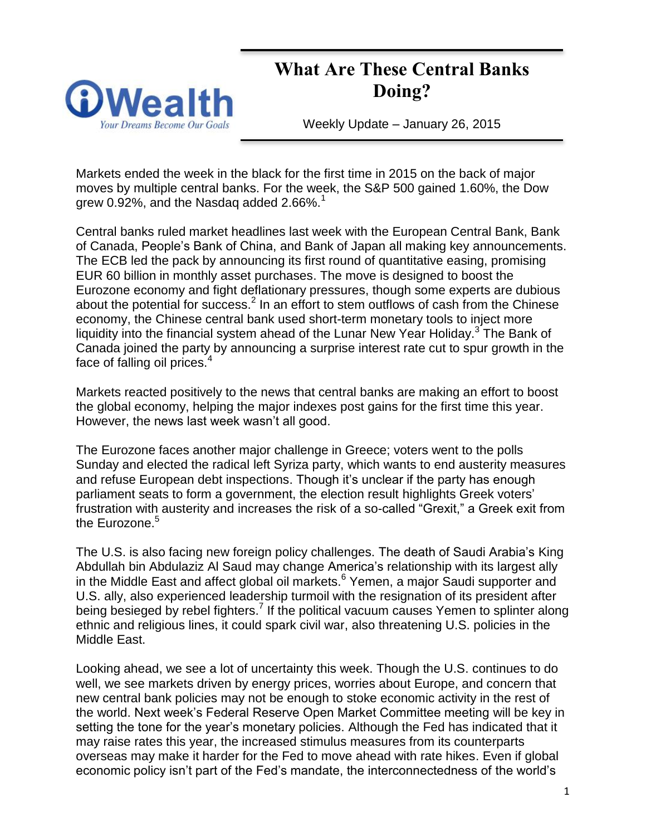# **What Are These Central Banks Doing?**



Weekly Update – January 26, 2015

Markets ended the week in the black for the first time in 2015 on the back of major moves by multiple central banks. For the week, the S&P 500 gained 1.60%, the Dow grew 0.92%, and the Nasdag added  $2.66\%$ <sup>1</sup>

Central banks ruled market headlines last week with the European Central Bank, Bank of Canada, People's Bank of China, and Bank of Japan all making key announcements. The ECB led the pack by announcing its first round of quantitative easing, promising EUR 60 billion in monthly asset purchases. The move is designed to boost the Eurozone economy and fight deflationary pressures, though some experts are dubious about the potential for success. $<sup>2</sup>$  In an effort to stem outflows of cash from the Chinese</sup> economy, the Chinese central bank used short-term monetary tools to inject more liquidity into the financial system ahead of the Lunar New Year Holiday.<sup>3</sup> The Bank of Canada joined the party by announcing a surprise interest rate cut to spur growth in the face of falling oil prices.<sup>4</sup>

Markets reacted positively to the news that central banks are making an effort to boost the global economy, helping the major indexes post gains for the first time this year. However, the news last week wasn't all good.

The Eurozone faces another major challenge in Greece; voters went to the polls Sunday and elected the radical left Syriza party, which wants to end austerity measures and refuse European debt inspections. Though it's unclear if the party has enough parliament seats to form a government, the election result highlights Greek voters' frustration with austerity and increases the risk of a so-called "Grexit," a Greek exit from the Eurozone.<sup>5</sup>

The U.S. is also facing new foreign policy challenges. The death of Saudi Arabia's King Abdullah bin Abdulaziz Al Saud may change America's relationship with its largest ally in the Middle East and affect global oil markets.<sup>6</sup> Yemen, a major Saudi supporter and U.S. ally, also experienced leadership turmoil with the resignation of its president after being besieged by rebel fighters.<sup>7</sup> If the political vacuum causes Yemen to splinter along ethnic and religious lines, it could spark civil war, also threatening U.S. policies in the Middle East.

Looking ahead, we see a lot of uncertainty this week. Though the U.S. continues to do well, we see markets driven by energy prices, worries about Europe, and concern that new central bank policies may not be enough to stoke economic activity in the rest of the world. Next week's Federal Reserve Open Market Committee meeting will be key in setting the tone for the year's monetary policies. Although the Fed has indicated that it may raise rates this year, the increased stimulus measures from its counterparts overseas may make it harder for the Fed to move ahead with rate hikes. Even if global economic policy isn't part of the Fed's mandate, the interconnectedness of the world's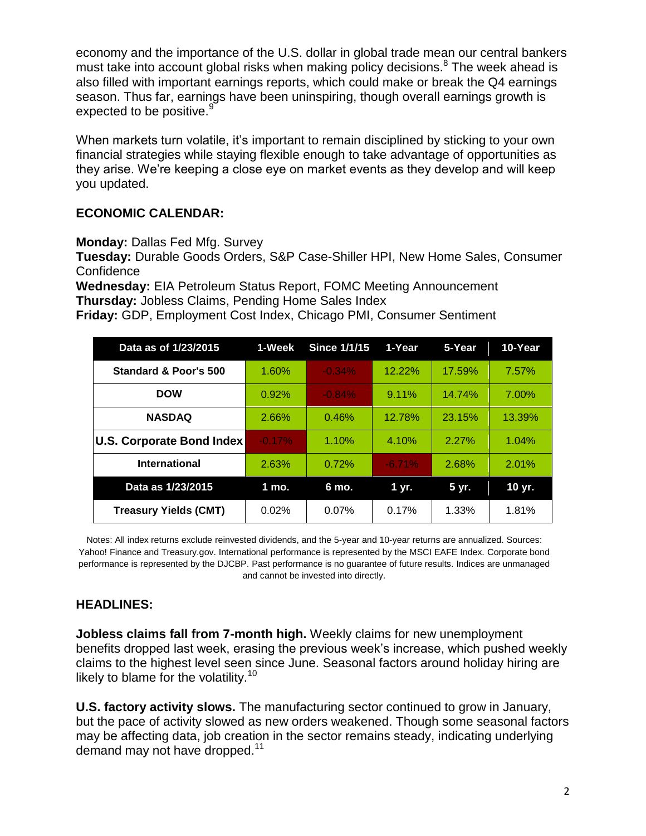economy and the importance of the U.S. dollar in global trade mean our central bankers must take into account global risks when making policy decisions.<sup>8</sup> The week ahead is also filled with important earnings reports, which could make or break the Q4 earnings season. Thus far, earnings have been uninspiring, though overall earnings growth is expected to be positive.<sup>9</sup>

When markets turn volatile, it's important to remain disciplined by sticking to your own financial strategies while staying flexible enough to take advantage of opportunities as they arise. We're keeping a close eye on market events as they develop and will keep you updated.

## **ECONOMIC CALENDAR:**

**Monday:** Dallas Fed Mfg. Survey

**Tuesday:** Durable Goods Orders, S&P Case-Shiller HPI, New Home Sales, Consumer **Confidence** 

**Wednesday:** EIA Petroleum Status Report, FOMC Meeting Announcement **Thursday:** Jobless Claims, Pending Home Sales Index

**Friday:** GDP, Employment Cost Index, Chicago PMI, Consumer Sentiment

| Data as of 1/23/2015         | 1-Week   | <b>Since 1/1/15</b> | 1-Year     | 5-Year   | 10-Year |
|------------------------------|----------|---------------------|------------|----------|---------|
| Standard & Poor's 500        | 1.60%    | $-0.34%$            | 12.22%     | 17.59%   | 7.57%   |
| <b>DOW</b>                   | 0.92%    | $-0.84%$            | $9.11\%$   | 14.74%   | 7.00%   |
| <b>NASDAQ</b>                | 2.66%    | 0.46%               | 12.78%     | 23.15%   | 13.39%  |
| U.S. Corporate Bond Index    | $-0.17%$ | 1.10%               | 4.10%      | $2.27\%$ | 1.04%   |
| <b>International</b>         | 2.63%    | 0.72%               | $-6.71%$   | 2.68%    | 2.01%   |
| Data as 1/23/2015            | 1 mo.    | 6 mo.               | $1 \, yr.$ | 5 yr.    | 10 yr.  |
| <b>Treasury Yields (CMT)</b> | 0.02%    | 0.07%               | 0.17%      | 1.33%    | 1.81%   |

Notes: All index returns exclude reinvested dividends, and the 5-year and 10-year returns are annualized. Sources: Yahoo! Finance and [Treasury.gov.](http://treasury.gov/) International performance is represented by the MSCI EAFE Index. Corporate bond performance is represented by the DJCBP. Past performance is no guarantee of future results. Indices are unmanaged and cannot be invested into directly.

### **HEADLINES:**

**Jobless claims fall from 7-month high.** Weekly claims for new unemployment benefits dropped last week, erasing the previous week's increase, which pushed weekly claims to the highest level seen since June. Seasonal factors around holiday hiring are likely to blame for the volatility.<sup>10</sup>

**U.S. factory activity slows.** The manufacturing sector continued to grow in January, but the pace of activity slowed as new orders weakened. Though some seasonal factors may be affecting data, job creation in the sector remains steady, indicating underlying demand may not have dropped.<sup>11</sup>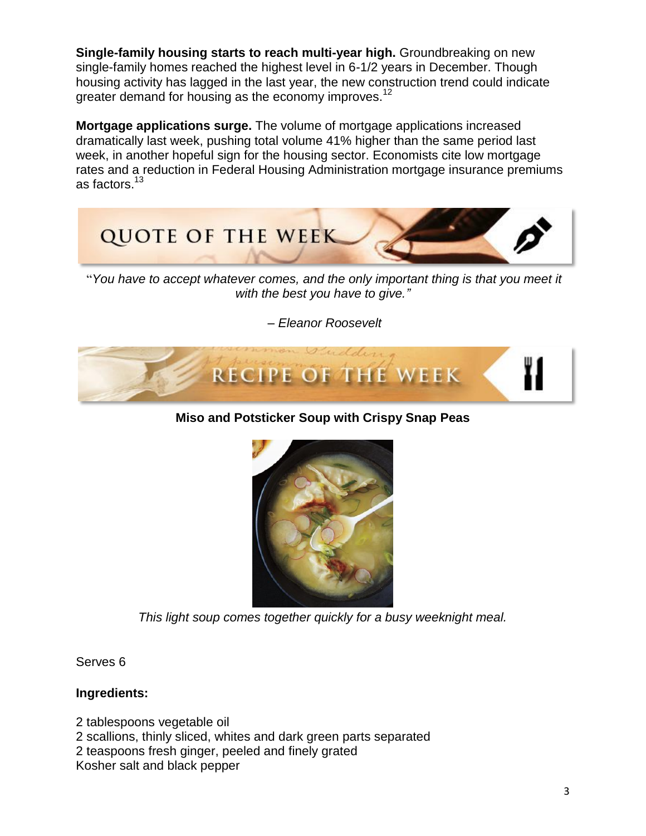**Single-family housing starts to reach multi-year high.** Groundbreaking on new single-family homes reached the highest level in 6-1/2 years in December. Though housing activity has lagged in the last year, the new construction trend could indicate greater demand for housing as the economy improves.<sup>12</sup>

**Mortgage applications surge.** The volume of mortgage applications increased dramatically last week, pushing total volume 41% higher than the same period last week, in another hopeful sign for the housing sector. Economists cite low mortgage rates and a reduction in Federal Housing Administration mortgage insurance premiums as factors.<sup>13</sup>



"*You have to accept whatever comes, and the only important thing is that you meet it with the best you have to give."*

*– Eleanor Roosevelt*



# **Miso and Potsticker Soup with Crispy Snap Peas**



*This light soup comes together quickly for a busy weeknight meal.*

Serves 6

### **Ingredients:**

2 tablespoons vegetable oil 2 scallions, thinly sliced, whites and dark green parts separated 2 teaspoons fresh ginger, peeled and finely grated Kosher salt and black pepper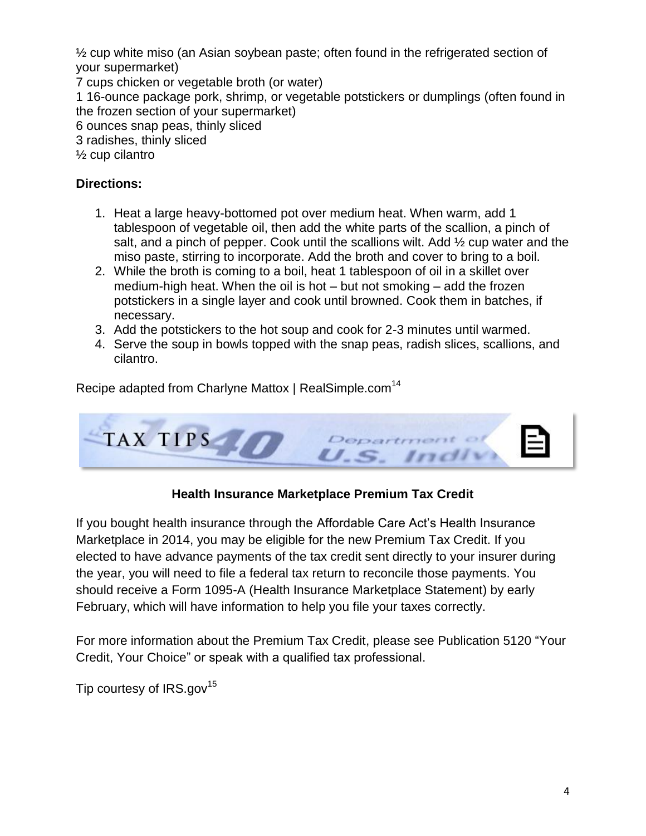½ cup white miso (an Asian soybean paste; often found in the refrigerated section of your supermarket)

7 cups chicken or vegetable broth (or water)

1 16-ounce package pork, shrimp, or vegetable potstickers or dumplings (often found in the frozen section of your supermarket)

6 ounces snap peas, thinly sliced

3 radishes, thinly sliced

½ cup cilantro

## **Directions:**

- 1. Heat a large heavy-bottomed pot over medium heat. When warm, add 1 tablespoon of vegetable oil, then add the white parts of the scallion, a pinch of salt, and a pinch of pepper. Cook until the scallions wilt. Add  $\frac{1}{2}$  cup water and the miso paste, stirring to incorporate. Add the broth and cover to bring to a boil.
- 2. While the broth is coming to a boil, heat 1 tablespoon of oil in a skillet over medium-high heat. When the oil is hot – but not smoking – add the frozen potstickers in a single layer and cook until browned. Cook them in batches, if necessary.
- 3. Add the potstickers to the hot soup and cook for 2-3 minutes until warmed.
- 4. Serve the soup in bowls topped with the snap peas, radish slices, scallions, and cilantro.

Recipe adapted from Charlyne Mattox | RealSimple.com<sup>14</sup>



# **Health Insurance Marketplace Premium Tax Credit**

If you bought health insurance through the Affordable Care Act's Health Insurance Marketplace in 2014, you may be eligible for the new Premium Tax Credit. If you elected to have advance payments of the tax credit sent directly to your insurer during the year, you will need to file a federal tax return to reconcile those payments. You should receive a Form 1095-A (Health Insurance Marketplace Statement) by early February, which will have information to help you file your taxes correctly.

For more information about the Premium Tax Credit, please see Publication 5120 "Your Credit, Your Choice" or speak with a qualified tax professional.

Tip courtesy of  $IRS.gov^{15}$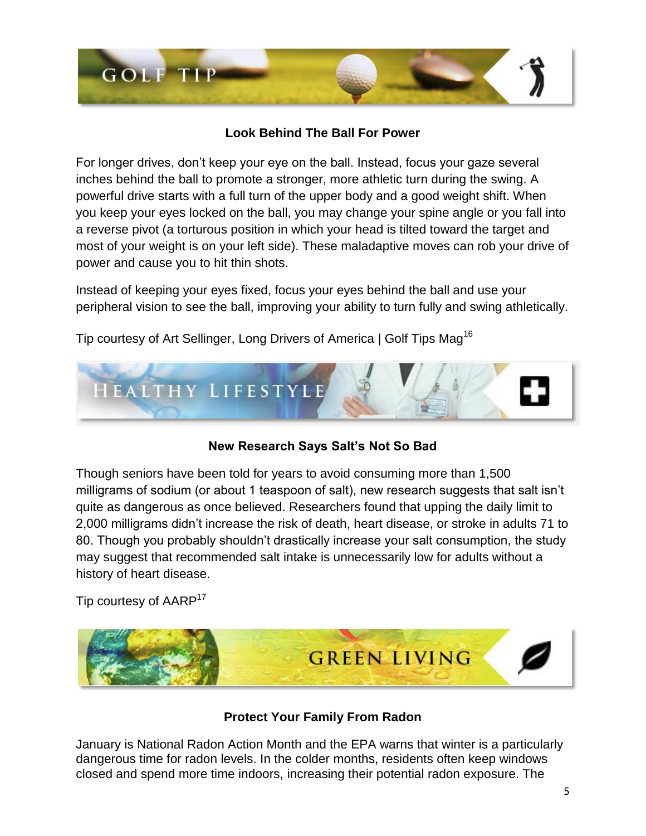

# **Look Behind The Ball For Power**

For longer drives, don't keep your eye on the ball. Instead, focus your gaze several inches behind the ball to promote a stronger, more athletic turn during the swing. A powerful drive starts with a full turn of the upper body and a good weight shift. When you keep your eyes locked on the ball, you may change your spine angle or you fall into a reverse pivot (a torturous position in which your head is tilted toward the target and most of your weight is on your left side). These maladaptive moves can rob your drive of power and cause you to hit thin shots.

Instead of keeping your eyes fixed, focus your eyes behind the ball and use your peripheral vision to see the ball, improving your ability to turn fully and swing athletically.

Tip courtesy of Art Sellinger, Long Drivers of America | Golf Tips Mag<sup>16</sup>



# **New Research Says Salt's Not So Bad**

Though seniors have been told for years to avoid consuming more than 1,500 milligrams of sodium (or about 1 teaspoon of salt), new research suggests that salt isn't quite as dangerous as once believed. Researchers found that upping the daily limit to 2,000 milligrams didn't increase the risk of death, heart disease, or stroke in adults 71 to 80. Though you probably shouldn't drastically increase your salt consumption, the study may suggest that recommended salt intake is unnecessarily low for adults without a history of heart disease.

Tip courtesy of AARP<sup>17</sup>



## **Protect Your Family From Radon**

January is National Radon Action Month and the EPA warns that winter is a particularly dangerous time for radon levels. In the colder months, residents often keep windows closed and spend more time indoors, increasing their potential radon exposure. The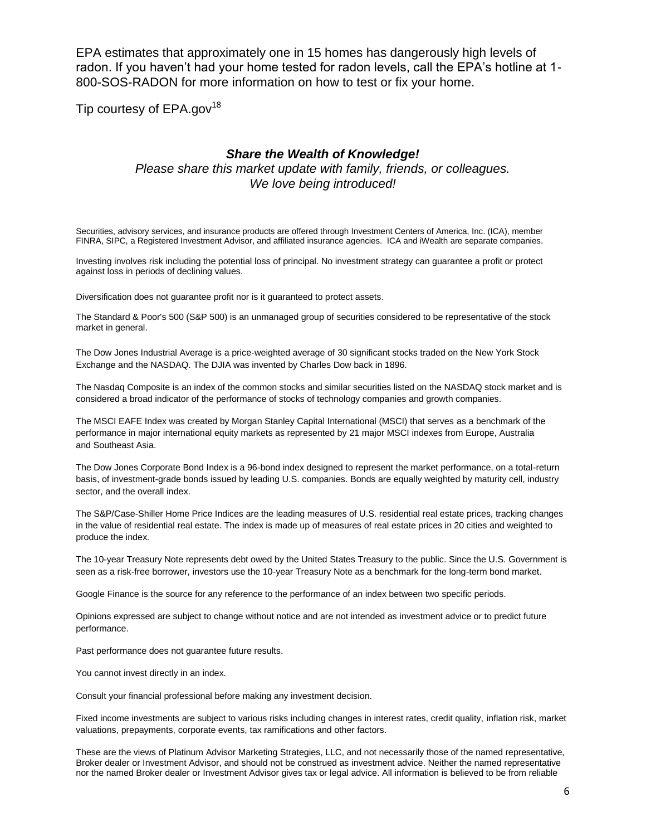EPA estimates that approximately one in 15 homes has dangerously high levels of radon. If you haven't had your home tested for radon levels, call the EPA's hotline at 1- 800-SOS-RADON for more information on how to test or fix your home.

Tip courtesy of  $EPA.gov^{18}$ 

#### *Share the Wealth of Knowledge!*

*Please share this market update with family, friends, or colleagues. We love being introduced!*

Securities, advisory services, and insurance products are offered through Investment Centers of America, Inc. (ICA), member FINRA, SIPC, a Registered Investment Advisor, and affiliated insurance agencies. ICA and iWealth are separate companies.

Investing involves risk including the potential loss of principal. No investment strategy can guarantee a profit or protect against loss in periods of declining values.

Diversification does not guarantee profit nor is it guaranteed to protect assets.

The Standard & Poor's 500 (S&P 500) is an unmanaged group of securities considered to be representative of the stock market in general.

The Dow Jones Industrial Average is a price-weighted average of 30 significant stocks traded on the New York Stock Exchange and the NASDAQ. The DJIA was invented by Charles Dow back in 1896.

The Nasdaq Composite is an index of the common stocks and similar securities listed on the NASDAQ stock market and is considered a broad indicator of the performance of stocks of technology companies and growth companies.

The MSCI EAFE Index was created by Morgan Stanley Capital International (MSCI) that serves as a benchmark of the performance in major international equity markets as represented by 21 major MSCI indexes from Europe, Australia and Southeast Asia.

The Dow Jones Corporate Bond Index is a 96-bond index designed to represent the market performance, on a total-return basis, of investment-grade bonds issued by leading U.S. companies. Bonds are equally weighted by maturity cell, industry sector, and the overall index.

The S&P/Case-Shiller Home Price Indices are the leading measures of U.S. residential real estate prices, tracking changes in the value of residential real estate. The index is made up of measures of real estate prices in 20 cities and weighted to produce the index.

The 10-year Treasury Note represents debt owed by the United States Treasury to the public. Since the U.S. Government is seen as a risk-free borrower, investors use the 10-year Treasury Note as a benchmark for the long-term bond market.

Google Finance is the source for any reference to the performance of an index between two specific periods.

Opinions expressed are subject to change without notice and are not intended as investment advice or to predict future performance.

Past performance does not guarantee future results.

You cannot invest directly in an index.

Consult your financial professional before making any investment decision.

Fixed income investments are subject to various risks including changes in interest rates, credit quality, inflation risk, market valuations, prepayments, corporate events, tax ramifications and other factors.

These are the views of Platinum Advisor Marketing Strategies, LLC, and not necessarily those of the named representative, Broker dealer or Investment Advisor, and should not be construed as investment advice. Neither the named representative nor the named Broker dealer or Investment Advisor gives tax or legal advice. All information is believed to be from reliable